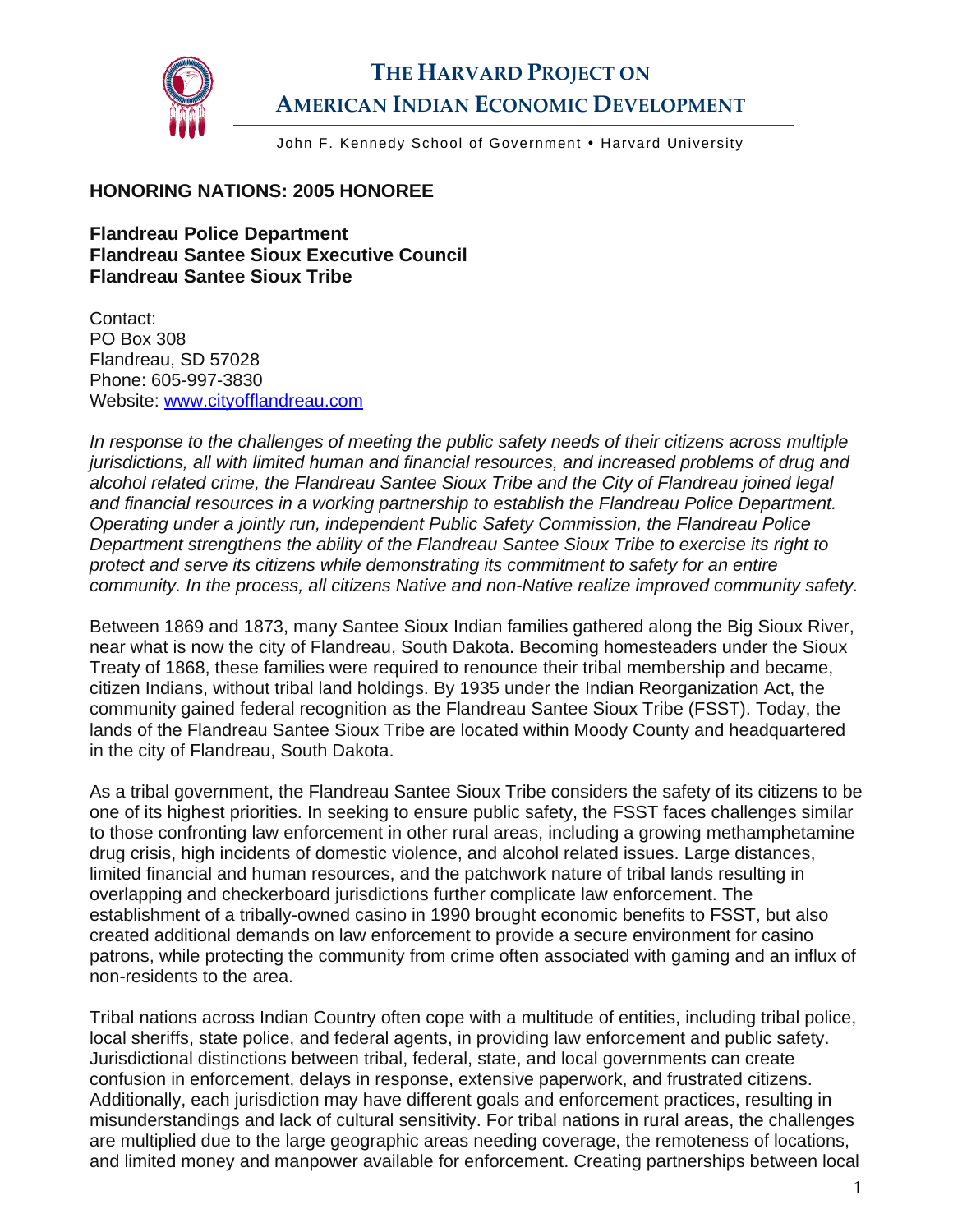

## **THE HARVARD PROJECT ON AMERICAN INDIAN ECONOMIC DEVELOPMENT**

John F. Kennedy School of Government . Harvard University

## **HONORING NATIONS: 2005 HONOREE**

**Flandreau Police Department Flandreau Santee Sioux Executive Council Flandreau Santee Sioux Tribe** 

Contact: PO Box 308 Flandreau, SD 57028 Phone: 605-997-3830 Website: [www.cityofflandreau.com](http://www.cityofflandreau.com/)

*In response to the challenges of meeting the public safety needs of their citizens across multiple jurisdictions, all with limited human and financial resources, and increased problems of drug and alcohol related crime, the Flandreau Santee Sioux Tribe and the City of Flandreau joined legal and financial resources in a working partnership to establish the Flandreau Police Department. Operating under a jointly run, independent Public Safety Commission, the Flandreau Police Department strengthens the ability of the Flandreau Santee Sioux Tribe to exercise its right to protect and serve its citizens while demonstrating its commitment to safety for an entire community. In the process, all citizens Native and non-Native realize improved community safety.* 

Between 1869 and 1873, many Santee Sioux Indian families gathered along the Big Sioux River, near what is now the city of Flandreau, South Dakota. Becoming homesteaders under the Sioux Treaty of 1868, these families were required to renounce their tribal membership and became, citizen Indians, without tribal land holdings. By 1935 under the Indian Reorganization Act, the community gained federal recognition as the Flandreau Santee Sioux Tribe (FSST). Today, the lands of the Flandreau Santee Sioux Tribe are located within Moody County and headquartered in the city of Flandreau, South Dakota.

As a tribal government, the Flandreau Santee Sioux Tribe considers the safety of its citizens to be one of its highest priorities. In seeking to ensure public safety, the FSST faces challenges similar to those confronting law enforcement in other rural areas, including a growing methamphetamine drug crisis, high incidents of domestic violence, and alcohol related issues. Large distances, limited financial and human resources, and the patchwork nature of tribal lands resulting in overlapping and checkerboard jurisdictions further complicate law enforcement. The establishment of a tribally-owned casino in 1990 brought economic benefits to FSST, but also created additional demands on law enforcement to provide a secure environment for casino patrons, while protecting the community from crime often associated with gaming and an influx of non-residents to the area.

Tribal nations across Indian Country often cope with a multitude of entities, including tribal police, local sheriffs, state police, and federal agents, in providing law enforcement and public safety. Jurisdictional distinctions between tribal, federal, state, and local governments can create confusion in enforcement, delays in response, extensive paperwork, and frustrated citizens. Additionally, each jurisdiction may have different goals and enforcement practices, resulting in misunderstandings and lack of cultural sensitivity. For tribal nations in rural areas, the challenges are multiplied due to the large geographic areas needing coverage, the remoteness of locations, and limited money and manpower available for enforcement. Creating partnerships between local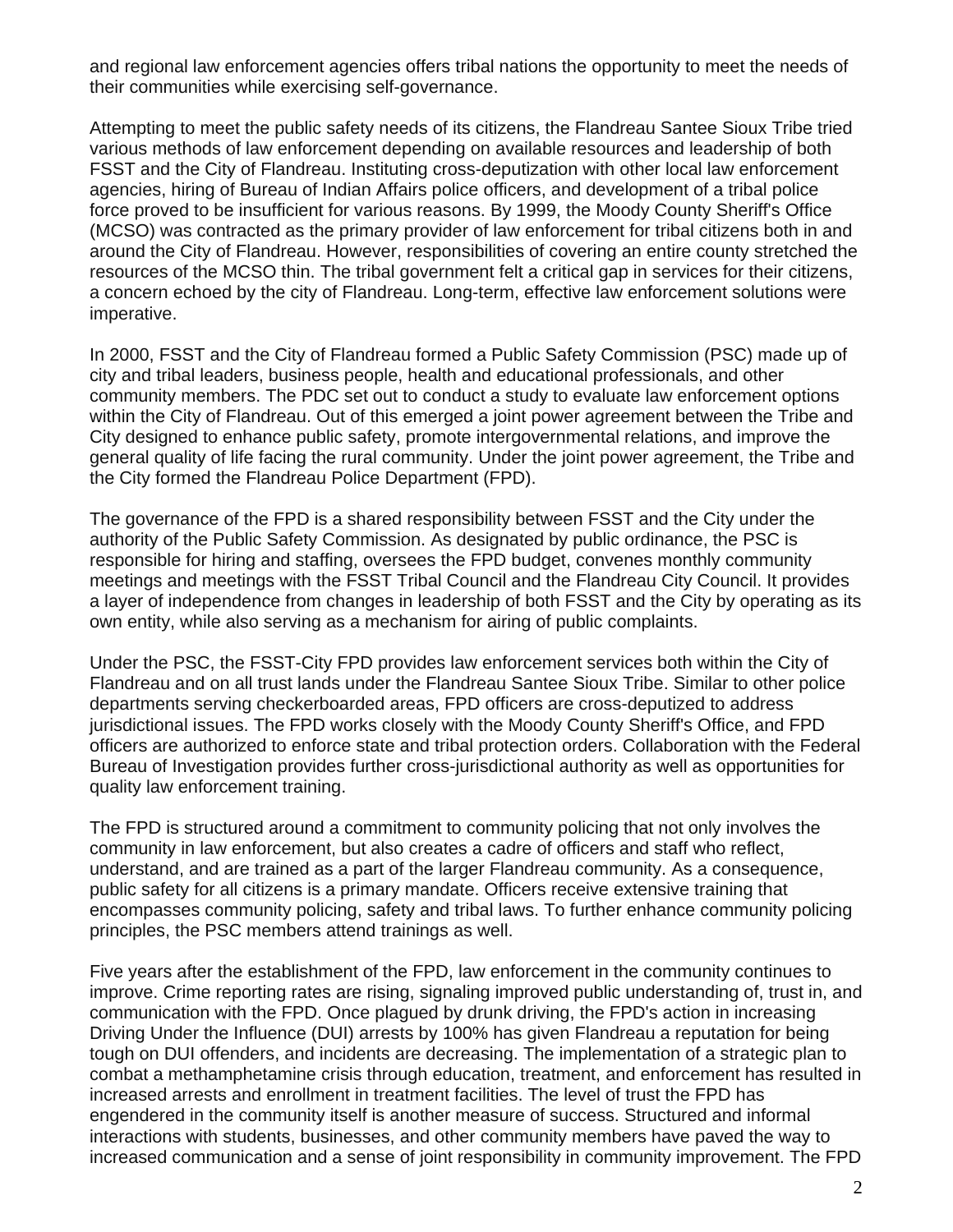and regional law enforcement agencies offers tribal nations the opportunity to meet the needs of their communities while exercising self-governance.

Attempting to meet the public safety needs of its citizens, the Flandreau Santee Sioux Tribe tried various methods of law enforcement depending on available resources and leadership of both FSST and the City of Flandreau. Instituting cross-deputization with other local law enforcement agencies, hiring of Bureau of Indian Affairs police officers, and development of a tribal police force proved to be insufficient for various reasons. By 1999, the Moody County Sheriff's Office (MCSO) was contracted as the primary provider of law enforcement for tribal citizens both in and around the City of Flandreau. However, responsibilities of covering an entire county stretched the resources of the MCSO thin. The tribal government felt a critical gap in services for their citizens, a concern echoed by the city of Flandreau. Long-term, effective law enforcement solutions were imperative.

In 2000, FSST and the City of Flandreau formed a Public Safety Commission (PSC) made up of city and tribal leaders, business people, health and educational professionals, and other community members. The PDC set out to conduct a study to evaluate law enforcement options within the City of Flandreau. Out of this emerged a joint power agreement between the Tribe and City designed to enhance public safety, promote intergovernmental relations, and improve the general quality of life facing the rural community. Under the joint power agreement, the Tribe and the City formed the Flandreau Police Department (FPD).

The governance of the FPD is a shared responsibility between FSST and the City under the authority of the Public Safety Commission. As designated by public ordinance, the PSC is responsible for hiring and staffing, oversees the FPD budget, convenes monthly community meetings and meetings with the FSST Tribal Council and the Flandreau City Council. It provides a layer of independence from changes in leadership of both FSST and the City by operating as its own entity, while also serving as a mechanism for airing of public complaints.

Under the PSC, the FSST-City FPD provides law enforcement services both within the City of Flandreau and on all trust lands under the Flandreau Santee Sioux Tribe. Similar to other police departments serving checkerboarded areas, FPD officers are cross-deputized to address jurisdictional issues. The FPD works closely with the Moody County Sheriff's Office, and FPD officers are authorized to enforce state and tribal protection orders. Collaboration with the Federal Bureau of Investigation provides further cross-jurisdictional authority as well as opportunities for quality law enforcement training.

The FPD is structured around a commitment to community policing that not only involves the community in law enforcement, but also creates a cadre of officers and staff who reflect, understand, and are trained as a part of the larger Flandreau community. As a consequence, public safety for all citizens is a primary mandate. Officers receive extensive training that encompasses community policing, safety and tribal laws. To further enhance community policing principles, the PSC members attend trainings as well.

Five years after the establishment of the FPD, law enforcement in the community continues to improve. Crime reporting rates are rising, signaling improved public understanding of, trust in, and communication with the FPD. Once plagued by drunk driving, the FPD's action in increasing Driving Under the Influence (DUI) arrests by 100% has given Flandreau a reputation for being tough on DUI offenders, and incidents are decreasing. The implementation of a strategic plan to combat a methamphetamine crisis through education, treatment, and enforcement has resulted in increased arrests and enrollment in treatment facilities. The level of trust the FPD has engendered in the community itself is another measure of success. Structured and informal interactions with students, businesses, and other community members have paved the way to increased communication and a sense of joint responsibility in community improvement. The FPD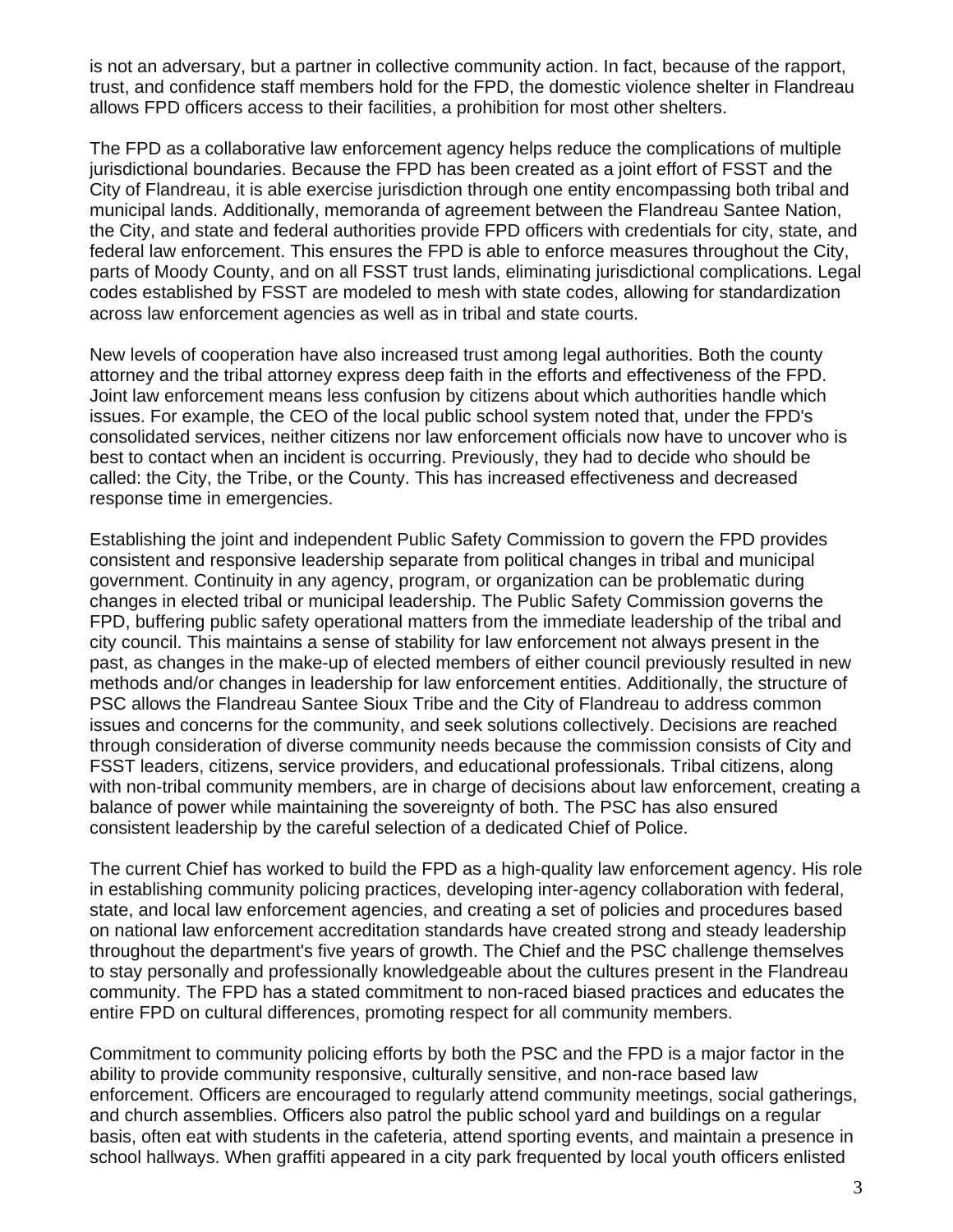is not an adversary, but a partner in collective community action. In fact, because of the rapport, trust, and confidence staff members hold for the FPD, the domestic violence shelter in Flandreau allows FPD officers access to their facilities, a prohibition for most other shelters.

The FPD as a collaborative law enforcement agency helps reduce the complications of multiple jurisdictional boundaries. Because the FPD has been created as a joint effort of FSST and the City of Flandreau, it is able exercise jurisdiction through one entity encompassing both tribal and municipal lands. Additionally, memoranda of agreement between the Flandreau Santee Nation, the City, and state and federal authorities provide FPD officers with credentials for city, state, and federal law enforcement. This ensures the FPD is able to enforce measures throughout the City, parts of Moody County, and on all FSST trust lands, eliminating jurisdictional complications. Legal codes established by FSST are modeled to mesh with state codes, allowing for standardization across law enforcement agencies as well as in tribal and state courts.

New levels of cooperation have also increased trust among legal authorities. Both the county attorney and the tribal attorney express deep faith in the efforts and effectiveness of the FPD. Joint law enforcement means less confusion by citizens about which authorities handle which issues. For example, the CEO of the local public school system noted that, under the FPD's consolidated services, neither citizens nor law enforcement officials now have to uncover who is best to contact when an incident is occurring. Previously, they had to decide who should be called: the City, the Tribe, or the County. This has increased effectiveness and decreased response time in emergencies.

Establishing the joint and independent Public Safety Commission to govern the FPD provides consistent and responsive leadership separate from political changes in tribal and municipal government. Continuity in any agency, program, or organization can be problematic during changes in elected tribal or municipal leadership. The Public Safety Commission governs the FPD, buffering public safety operational matters from the immediate leadership of the tribal and city council. This maintains a sense of stability for law enforcement not always present in the past, as changes in the make-up of elected members of either council previously resulted in new methods and/or changes in leadership for law enforcement entities. Additionally, the structure of PSC allows the Flandreau Santee Sioux Tribe and the City of Flandreau to address common issues and concerns for the community, and seek solutions collectively. Decisions are reached through consideration of diverse community needs because the commission consists of City and FSST leaders, citizens, service providers, and educational professionals. Tribal citizens, along with non-tribal community members, are in charge of decisions about law enforcement, creating a balance of power while maintaining the sovereignty of both. The PSC has also ensured consistent leadership by the careful selection of a dedicated Chief of Police.

The current Chief has worked to build the FPD as a high-quality law enforcement agency. His role in establishing community policing practices, developing inter-agency collaboration with federal, state, and local law enforcement agencies, and creating a set of policies and procedures based on national law enforcement accreditation standards have created strong and steady leadership throughout the department's five years of growth. The Chief and the PSC challenge themselves to stay personally and professionally knowledgeable about the cultures present in the Flandreau community. The FPD has a stated commitment to non-raced biased practices and educates the entire FPD on cultural differences, promoting respect for all community members.

Commitment to community policing efforts by both the PSC and the FPD is a major factor in the ability to provide community responsive, culturally sensitive, and non-race based law enforcement. Officers are encouraged to regularly attend community meetings, social gatherings, and church assemblies. Officers also patrol the public school yard and buildings on a regular basis, often eat with students in the cafeteria, attend sporting events, and maintain a presence in school hallways. When graffiti appeared in a city park frequented by local youth officers enlisted